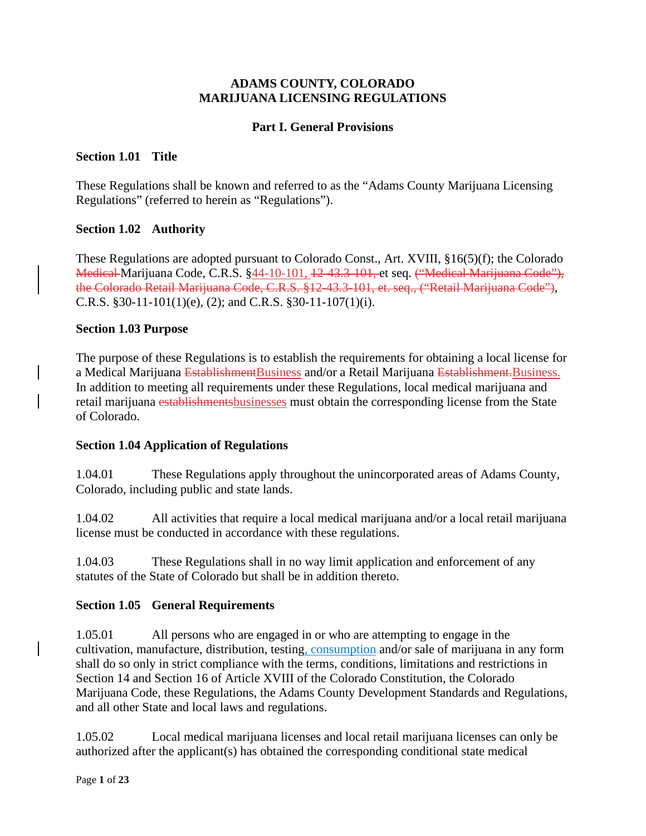#### **ADAMS COUNTY, COLORADO MARIJUANA LICENSING REGULATIONS**

#### **Part I. General Provisions**

#### **Section 1.01 Title**

These Regulations shall be known and referred to as the "Adams County Marijuana Licensing Regulations" (referred to herein as "Regulations").

#### **Section 1.02 Authority**

These Regulations are adopted pursuant to Colorado Const., Art. XVIII, §16(5)(f); the Colorado Medical Marijuana Code, C.R.S. §44-10-101, 12-43.3-101, et seq. ("Medical Marijuana Code"), the Colorado Retail Marijuana Code, C.R.S. §12-43.3-101, et. seq., ("Retail Marijuana Code"), C.R.S. §30-11-101(1)(e), (2); and C.R.S. §30-11-107(1)(i).

#### **Section 1.03 Purpose**

The purpose of these Regulations is to establish the requirements for obtaining a local license for a Medical Marijuana EstablishmentBusiness and/or a Retail Marijuana Establishment. Business. In addition to meeting all requirements under these Regulations, local medical marijuana and retail marijuana establishmentsbusinesses must obtain the corresponding license from the State of Colorado.

#### **Section 1.04 Application of Regulations**

1.04.01 These Regulations apply throughout the unincorporated areas of Adams County, Colorado, including public and state lands.

1.04.02 All activities that require a local medical marijuana and/or a local retail marijuana license must be conducted in accordance with these regulations.

1.04.03 These Regulations shall in no way limit application and enforcement of any statutes of the State of Colorado but shall be in addition thereto.

#### **Section 1.05 General Requirements**

1.05.01 All persons who are engaged in or who are attempting to engage in the cultivation, manufacture, distribution, testing, consumption and/or sale of marijuana in any form shall do so only in strict compliance with the terms, conditions, limitations and restrictions in Section 14 and Section 16 of Article XVIII of the Colorado Constitution, the Colorado Marijuana Code, these Regulations, the Adams County Development Standards and Regulations, and all other State and local laws and regulations.

1.05.02 Local medical marijuana licenses and local retail marijuana licenses can only be authorized after the applicant(s) has obtained the corresponding conditional state medical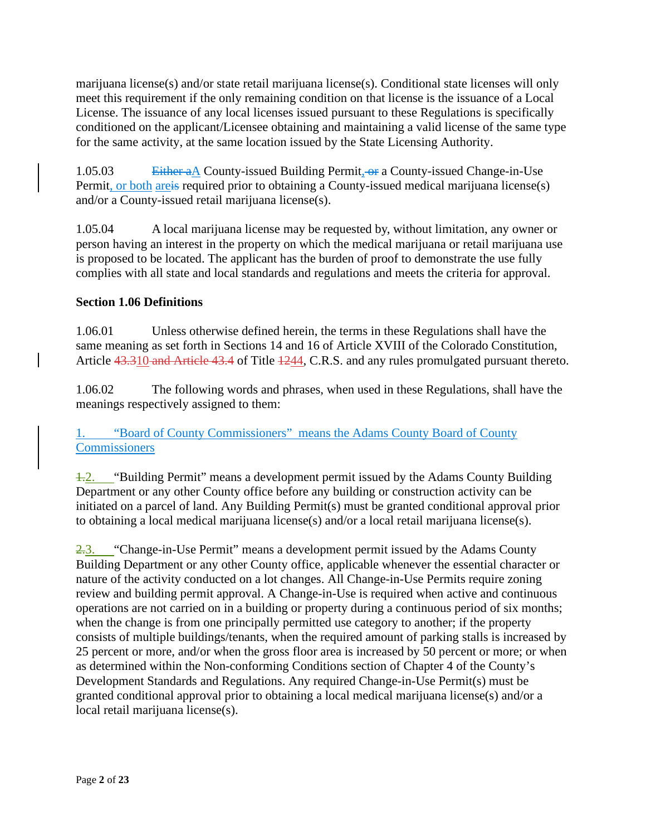marijuana license(s) and/or state retail marijuana license(s). Conditional state licenses will only meet this requirement if the only remaining condition on that license is the issuance of a Local License. The issuance of any local licenses issued pursuant to these Regulations is specifically conditioned on the applicant/Licensee obtaining and maintaining a valid license of the same type for the same activity, at the same location issued by the State Licensing Authority.

1.05.03 Either a A County-issued Building Permit, or a County-issued Change-in-Use Permit, or both are is required prior to obtaining a County-issued medical marijuana license(s) and/or a County-issued retail marijuana license(s).

1.05.04 A local marijuana license may be requested by, without limitation, any owner or person having an interest in the property on which the medical marijuana or retail marijuana use is proposed to be located. The applicant has the burden of proof to demonstrate the use fully complies with all state and local standards and regulations and meets the criteria for approval.

## **Section 1.06 Definitions**

1.06.01 Unless otherwise defined herein, the terms in these Regulations shall have the same meaning as set forth in Sections 14 and 16 of Article XVIII of the Colorado Constitution, Article 43.310 and Article 43.4 of Title  $1244$ , C.R.S. and any rules promulgated pursuant thereto.

1.06.02 The following words and phrases, when used in these Regulations, shall have the meanings respectively assigned to them:

# 1. "Board of County Commissioners" means the Adams County Board of County **Commissioners**

1.2. "Building Permit" means a development permit issued by the Adams County Building Department or any other County office before any building or construction activity can be initiated on a parcel of land. Any Building Permit(s) must be granted conditional approval prior to obtaining a local medical marijuana license(s) and/or a local retail marijuana license(s).

2.3. "Change-in-Use Permit" means a development permit issued by the Adams County Building Department or any other County office, applicable whenever the essential character or nature of the activity conducted on a lot changes. All Change-in-Use Permits require zoning review and building permit approval. A Change-in-Use is required when active and continuous operations are not carried on in a building or property during a continuous period of six months; when the change is from one principally permitted use category to another; if the property consists of multiple buildings/tenants, when the required amount of parking stalls is increased by 25 percent or more, and/or when the gross floor area is increased by 50 percent or more; or when as determined within the Non-conforming Conditions section of Chapter 4 of the County's Development Standards and Regulations. Any required Change-in-Use Permit(s) must be granted conditional approval prior to obtaining a local medical marijuana license(s) and/or a local retail marijuana license(s).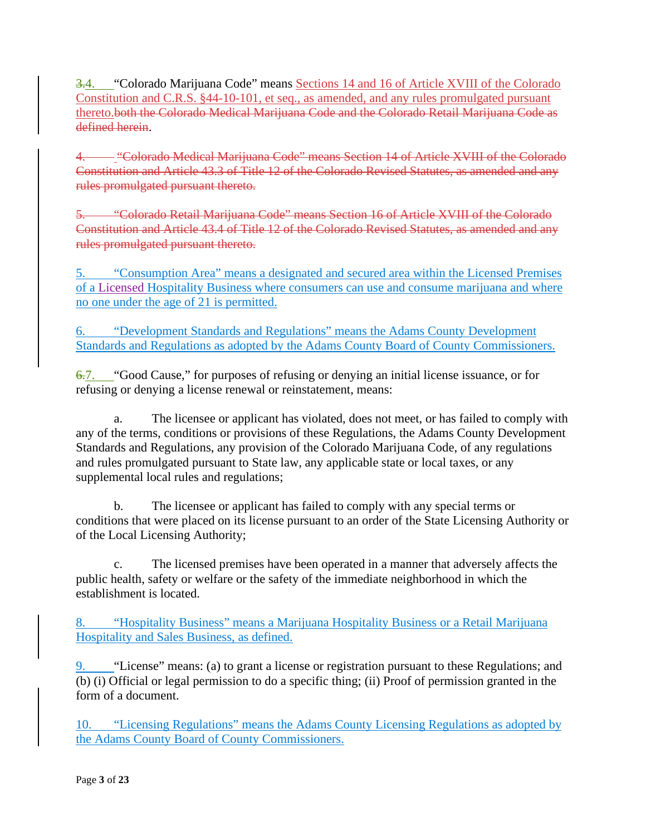3.4. "Colorado Marijuana Code" means Sections 14 and 16 of Article XVIII of the Colorado Constitution and C.R.S. §44-10-101, et seq., as amended, and any rules promulgated pursuant thereto.both the Colorado Medical Marijuana Code and the Colorado Retail Marijuana Code as defined herein.

4. "
"Colorado Medical Marijuana Code" means Section 14 of Article XVIII of the Colorado Constitution and Article 43.3 of Title 12 of the Colorado Revised Statutes, as amended and any rules promulgated pursuant thereto.

5. "Colorado Retail Marijuana Code" means Section 16 of Article XVIII of the Colorado Constitution and Article 43.4 of Title 12 of the Colorado Revised Statutes, as amended and any rules promulgated pursuant thereto.

5. "Consumption Area" means a designated and secured area within the Licensed Premises of a Licensed Hospitality Business where consumers can use and consume marijuana and where no one under the age of 21 is permitted.

6. "Development Standards and Regulations" means the Adams County Development Standards and Regulations as adopted by the Adams County Board of County Commissioners.

6.7. "Good Cause," for purposes of refusing or denying an initial license issuance, or for refusing or denying a license renewal or reinstatement, means:

a. The licensee or applicant has violated, does not meet, or has failed to comply with any of the terms, conditions or provisions of these Regulations, the Adams County Development Standards and Regulations, any provision of the Colorado Marijuana Code, of any regulations and rules promulgated pursuant to State law, any applicable state or local taxes, or any supplemental local rules and regulations;

b. The licensee or applicant has failed to comply with any special terms or conditions that were placed on its license pursuant to an order of the State Licensing Authority or of the Local Licensing Authority;

c. The licensed premises have been operated in a manner that adversely affects the public health, safety or welfare or the safety of the immediate neighborhood in which the establishment is located.

8. "Hospitality Business" means a Marijuana Hospitality Business or a Retail Marijuana Hospitality and Sales Business, as defined.

9. "License" means: (a) to grant a license or registration pursuant to these Regulations; and (b) (i) Official or legal permission to do a specific thing; (ii) Proof of permission granted in the form of a document.

10. "Licensing Regulations" means the Adams County Licensing Regulations as adopted by the Adams County Board of County Commissioners.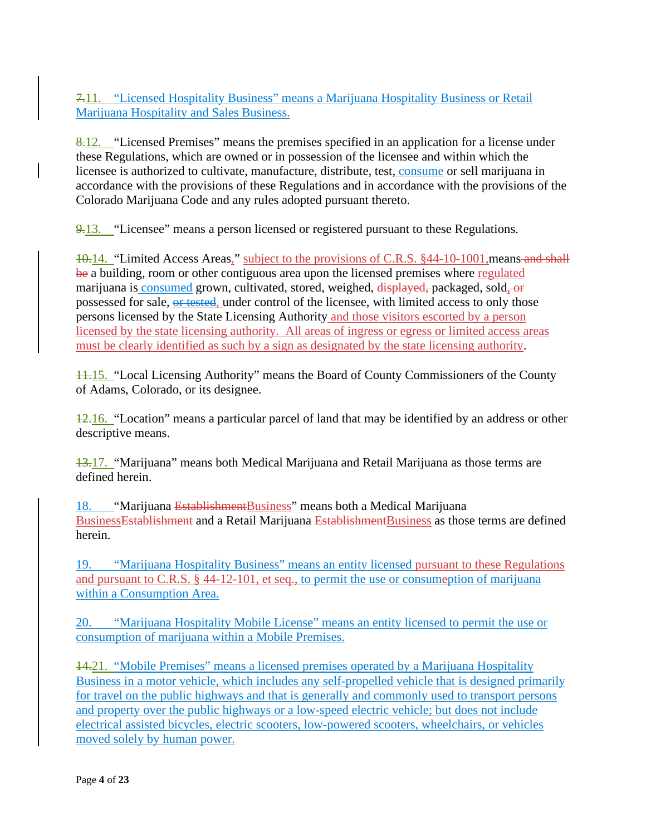7.11. "Licensed Hospitality Business" means a Marijuana Hospitality Business or Retail Marijuana Hospitality and Sales Business.

8.12. "Licensed Premises" means the premises specified in an application for a license under these Regulations, which are owned or in possession of the licensee and within which the licensee is authorized to cultivate, manufacture, distribute, test, consume or sell marijuana in accordance with the provisions of these Regulations and in accordance with the provisions of the Colorado Marijuana Code and any rules adopted pursuant thereto.

9.13. "Licensee" means a person licensed or registered pursuant to these Regulations.

10.14. "Limited Access Areas," subject to the provisions of C.R.S. §44-10-1001,means and shall be a building, room or other contiguous area upon the licensed premises where regulated marijuana is consumed grown, cultivated, stored, weighed, displayed, packaged, sold, or possessed for sale, or tested, under control of the licensee, with limited access to only those persons licensed by the State Licensing Authority and those visitors escorted by a person licensed by the state licensing authority. All areas of ingress or egress or limited access areas must be clearly identified as such by a sign as designated by the state licensing authority.

11.15. "Local Licensing Authority" means the Board of County Commissioners of the County of Adams, Colorado, or its designee.

12.16. "Location" means a particular parcel of land that may be identified by an address or other descriptive means.

13.17. "Marijuana" means both Medical Marijuana and Retail Marijuana as those terms are defined herein.

18. "Marijuana EstablishmentBusiness" means both a Medical Marijuana Business<del>Establishment</del> and a Retail Marijuana EstablishmentBusiness as those terms are defined herein.

19. "Marijuana Hospitality Business" means an entity licensed pursuant to these Regulations and pursuant to C.R.S. § 44-12-101, et seq., to permit the use or consumeption of marijuana within a Consumption Area.

20. "Marijuana Hospitality Mobile License" means an entity licensed to permit the use or consumption of marijuana within a Mobile Premises.

14.21. "Mobile Premises" means a licensed premises operated by a Marijuana Hospitality Business in a motor vehicle, which includes any self-propelled vehicle that is designed primarily for travel on the public highways and that is generally and commonly used to transport persons and property over the public highways or a low-speed electric vehicle; but does not include electrical assisted bicycles, electric scooters, low-powered scooters, wheelchairs, or vehicles moved solely by human power.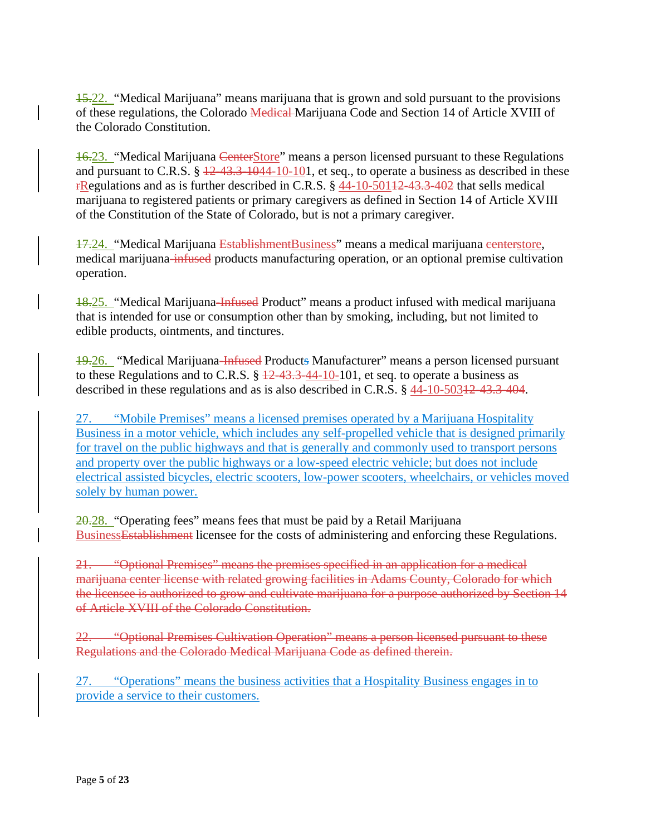15.22. "Medical Marijuana" means marijuana that is grown and sold pursuant to the provisions of these regulations, the Colorado Medical Marijuana Code and Section 14 of Article XVIII of the Colorado Constitution.

16.23. "Medical Marijuana CenterStore" means a person licensed pursuant to these Regulations and pursuant to C.R.S.  $\S$   $\frac{12-43.3-1044-10-101}{}$ , et seq., to operate a business as described in these rRegulations and as is further described in C.R.S. § 44-10-50112-43.3-402 that sells medical marijuana to registered patients or primary caregivers as defined in Section 14 of Article XVIII of the Constitution of the State of Colorado, but is not a primary caregiver.

17.24. "Medical Marijuana Establishment Business" means a medical marijuana centerstore, medical marijuana-infused products manufacturing operation, or an optional premise cultivation operation.

18.25. "Medical Marijuana-Infused Product" means a product infused with medical marijuana that is intended for use or consumption other than by smoking, including, but not limited to edible products, ointments, and tinctures.

19.26. "Medical Marijuana-Infused Products Manufacturer" means a person licensed pursuant to these Regulations and to C.R.S.  $\S$   $\frac{12-43.3-44-10-101}{10}$ , et seq. to operate a business as described in these regulations and as is also described in C.R.S. § 44-10-50312-43.3-404.

27. "Mobile Premises" means a licensed premises operated by a Marijuana Hospitality Business in a motor vehicle, which includes any self-propelled vehicle that is designed primarily for travel on the public highways and that is generally and commonly used to transport persons and property over the public highways or a low-speed electric vehicle; but does not include electrical assisted bicycles, electric scooters, low-power scooters, wheelchairs, or vehicles moved solely by human power.

 $20.28$ . "Operating fees" means fees that must be paid by a Retail Marijuana BusinessEstablishment licensee for the costs of administering and enforcing these Regulations.

21. "Optional Premises" means the premises specified in an application for a medical marijuana center license with related growing facilities in Adams County, Colorado for which the licensee is authorized to grow and cultivate marijuana for a purpose authorized by Section 14 of Article XVIII of the Colorado Constitution.

22. "Optional Premises Cultivation Operation" means a person licensed pursuant to these Regulations and the Colorado Medical Marijuana Code as defined therein.

27. "Operations" means the business activities that a Hospitality Business engages in to provide a service to their customers.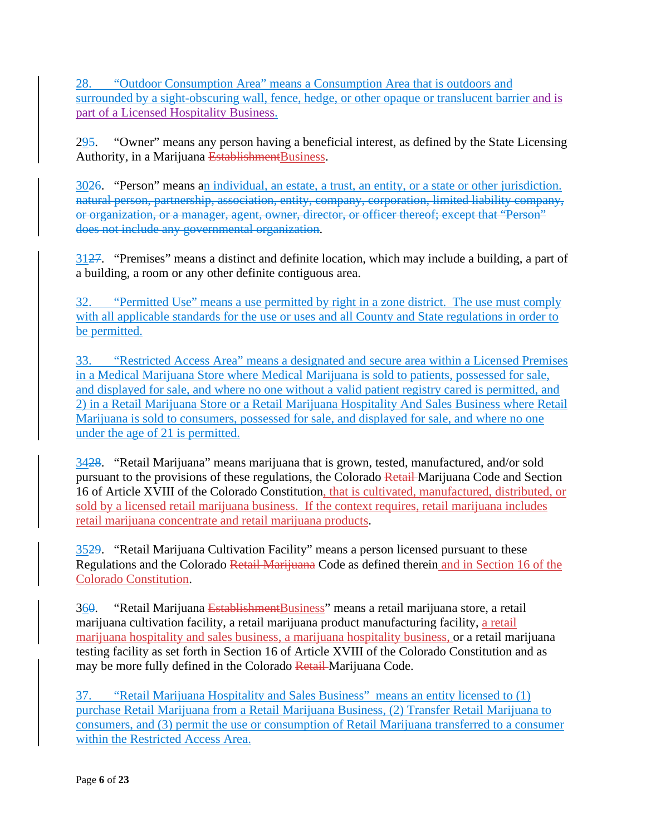28. "Outdoor Consumption Area" means a Consumption Area that is outdoors and surrounded by a sight-obscuring wall, fence, hedge, or other opaque or translucent barrier and is part of a Licensed Hospitality Business.

295. "Owner" means any person having a beneficial interest, as defined by the State Licensing Authority, in a Marijuana EstablishmentBusiness.

3026. "Person" means an individual, an estate, a trust, an entity, or a state or other jurisdiction. natural person, partnership, association, entity, company, corporation, limited liability company, or organization, or a manager, agent, owner, director, or officer thereof; except that "Person" does not include any governmental organization.

3127. "Premises" means a distinct and definite location, which may include a building, a part of a building, a room or any other definite contiguous area.

32. "Permitted Use" means a use permitted by right in a zone district. The use must comply with all applicable standards for the use or uses and all County and State regulations in order to be permitted.

33. "Restricted Access Area" means a designated and secure area within a Licensed Premises in a Medical Marijuana Store where Medical Marijuana is sold to patients, possessed for sale, and displayed for sale, and where no one without a valid patient registry cared is permitted, and 2) in a Retail Marijuana Store or a Retail Marijuana Hospitality And Sales Business where Retail Marijuana is sold to consumers, possessed for sale, and displayed for sale, and where no one under the age of 21 is permitted.

3428. "Retail Marijuana" means marijuana that is grown, tested, manufactured, and/or sold pursuant to the provisions of these regulations, the Colorado Retail Marijuana Code and Section 16 of Article XVIII of the Colorado Constitution, that is cultivated, manufactured, distributed, or sold by a licensed retail marijuana business. If the context requires, retail marijuana includes retail marijuana concentrate and retail marijuana products.

3529. "Retail Marijuana Cultivation Facility" means a person licensed pursuant to these Regulations and the Colorado Retail Marijuana Code as defined therein and in Section 16 of the Colorado Constitution.

360. "Retail Marijuana EstablishmentBusiness" means a retail marijuana store, a retail marijuana cultivation facility, a retail marijuana product manufacturing facility, a retail marijuana hospitality and sales business, a marijuana hospitality business, or a retail marijuana testing facility as set forth in Section 16 of Article XVIII of the Colorado Constitution and as may be more fully defined in the Colorado Retail-Marijuana Code.

37. "Retail Marijuana Hospitality and Sales Business" means an entity licensed to (1) purchase Retail Marijuana from a Retail Marijuana Business, (2) Transfer Retail Marijuana to consumers, and (3) permit the use or consumption of Retail Marijuana transferred to a consumer within the Restricted Access Area.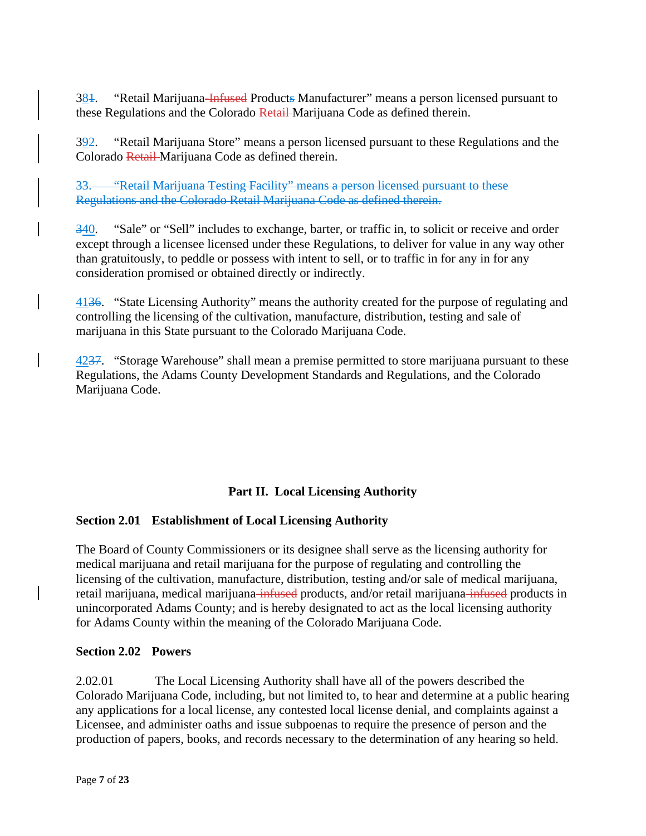384. "Retail Marijuana-Infused Products Manufacturer" means a person licensed pursuant to these Regulations and the Colorado Retail Marijuana Code as defined therein.

392. "Retail Marijuana Store" means a person licensed pursuant to these Regulations and the Colorado Retail Marijuana Code as defined therein.

33. "Retail Marijuana Testing Facility" means a person licensed pursuant to these Regulations and the Colorado Retail Marijuana Code as defined therein.

340. "Sale" or "Sell" includes to exchange, barter, or traffic in, to solicit or receive and order except through a licensee licensed under these Regulations, to deliver for value in any way other than gratuitously, to peddle or possess with intent to sell, or to traffic in for any in for any consideration promised or obtained directly or indirectly.

4136. "State Licensing Authority" means the authority created for the purpose of regulating and controlling the licensing of the cultivation, manufacture, distribution, testing and sale of marijuana in this State pursuant to the Colorado Marijuana Code.

4237. "Storage Warehouse" shall mean a premise permitted to store marijuana pursuant to these Regulations, the Adams County Development Standards and Regulations, and the Colorado Marijuana Code.

# **Part II. Local Licensing Authority**

### **Section 2.01 Establishment of Local Licensing Authority**

The Board of County Commissioners or its designee shall serve as the licensing authority for medical marijuana and retail marijuana for the purpose of regulating and controlling the licensing of the cultivation, manufacture, distribution, testing and/or sale of medical marijuana, retail marijuana, medical marijuana-infused products, and/or retail marijuana-infused products in unincorporated Adams County; and is hereby designated to act as the local licensing authority for Adams County within the meaning of the Colorado Marijuana Code.

#### **Section 2.02 Powers**

2.02.01 The Local Licensing Authority shall have all of the powers described the Colorado Marijuana Code, including, but not limited to, to hear and determine at a public hearing any applications for a local license, any contested local license denial, and complaints against a Licensee, and administer oaths and issue subpoenas to require the presence of person and the production of papers, books, and records necessary to the determination of any hearing so held.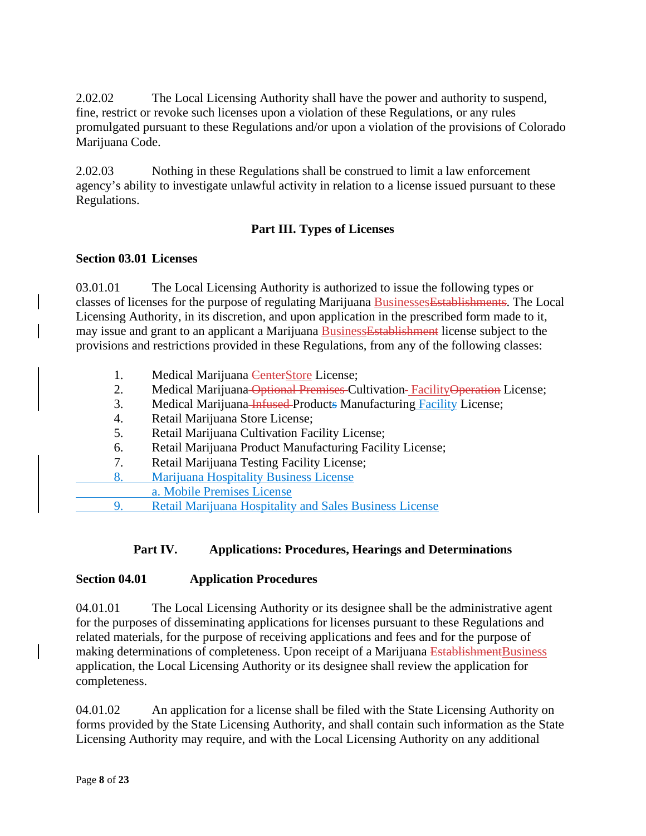2.02.02 The Local Licensing Authority shall have the power and authority to suspend, fine, restrict or revoke such licenses upon a violation of these Regulations, or any rules promulgated pursuant to these Regulations and/or upon a violation of the provisions of Colorado Marijuana Code.

2.02.03 Nothing in these Regulations shall be construed to limit a law enforcement agency's ability to investigate unlawful activity in relation to a license issued pursuant to these Regulations.

# **Part III. Types of Licenses**

#### **Section 03.01 Licenses**

03.01.01 The Local Licensing Authority is authorized to issue the following types or classes of licenses for the purpose of regulating Marijuana BusinessesEstablishments. The Local Licensing Authority, in its discretion, and upon application in the prescribed form made to it, may issue and grant to an applicant a Marijuana BusinessEstablishment license subject to the provisions and restrictions provided in these Regulations, from any of the following classes:

- 1. Medical Marijuana CenterStore License;
- 2. Medical Marijuana Optional Premises Cultivation-Facility Operation License;
- 3. Medical Marijuana Infused Products Manufacturing Facility License;
- 4. Retail Marijuana Store License;
- 5. Retail Marijuana Cultivation Facility License;
- 6. Retail Marijuana Product Manufacturing Facility License;
- 7. Retail Marijuana Testing Facility License;
- 8. Marijuana Hospitality Business License
- a. Mobile Premises License
- 9. Retail Marijuana Hospitality and Sales Business License

### **Part IV. Applications: Procedures, Hearings and Determinations**

### **Section 04.01 Application Procedures**

04.01.01 The Local Licensing Authority or its designee shall be the administrative agent for the purposes of disseminating applications for licenses pursuant to these Regulations and related materials, for the purpose of receiving applications and fees and for the purpose of making determinations of completeness. Upon receipt of a Marijuana EstablishmentBusiness application, the Local Licensing Authority or its designee shall review the application for completeness.

04.01.02 An application for a license shall be filed with the State Licensing Authority on forms provided by the State Licensing Authority, and shall contain such information as the State Licensing Authority may require, and with the Local Licensing Authority on any additional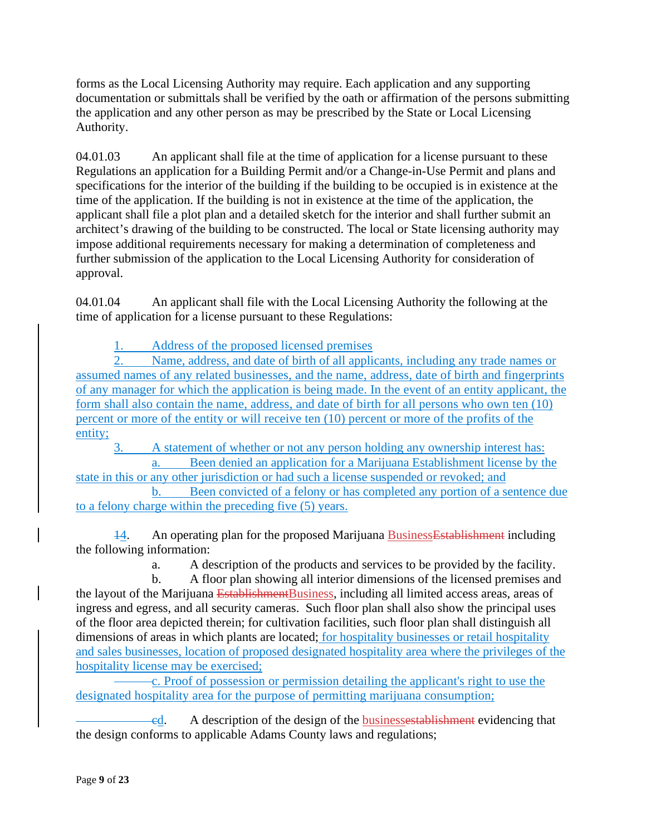forms as the Local Licensing Authority may require. Each application and any supporting documentation or submittals shall be verified by the oath or affirmation of the persons submitting the application and any other person as may be prescribed by the State or Local Licensing Authority.

04.01.03 An applicant shall file at the time of application for a license pursuant to these Regulations an application for a Building Permit and/or a Change-in-Use Permit and plans and specifications for the interior of the building if the building to be occupied is in existence at the time of the application. If the building is not in existence at the time of the application, the applicant shall file a plot plan and a detailed sketch for the interior and shall further submit an architect's drawing of the building to be constructed. The local or State licensing authority may impose additional requirements necessary for making a determination of completeness and further submission of the application to the Local Licensing Authority for consideration of approval.

04.01.04 An applicant shall file with the Local Licensing Authority the following at the time of application for a license pursuant to these Regulations:

1. Address of the proposed licensed premises

Name, address, and date of birth of all applicants, including any trade names or assumed names of any related businesses, and the name, address, date of birth and fingerprints of any manager for which the application is being made. In the event of an entity applicant, the form shall also contain the name, address, and date of birth for all persons who own ten (10) percent or more of the entity or will receive ten (10) percent or more of the profits of the entity;

3. A statement of whether or not any person holding any ownership interest has: a. Been denied an application for a Marijuana Establishment license by the

state in this or any other jurisdiction or had such a license suspended or revoked; and b. Been convicted of a felony or has completed any portion of a sentence due to a felony charge within the preceding five (5) years.

14. An operating plan for the proposed Marijuana BusinessEstablishment including the following information:

a. A description of the products and services to be provided by the facility.

b. A floor plan showing all interior dimensions of the licensed premises and the layout of the Marijuana EstablishmentBusiness, including all limited access areas, areas of ingress and egress, and all security cameras. Such floor plan shall also show the principal uses of the floor area depicted therein; for cultivation facilities, such floor plan shall distinguish all dimensions of areas in which plants are located; for hospitality businesses or retail hospitality and sales businesses, location of proposed designated hospitality area where the privileges of the hospitality license may be exercised;

c. Proof of possession or permission detailing the applicant's right to use the designated hospitality area for the purpose of permitting marijuana consumption;

cd. A description of the design of the businessestablishment evidencing that the design conforms to applicable Adams County laws and regulations;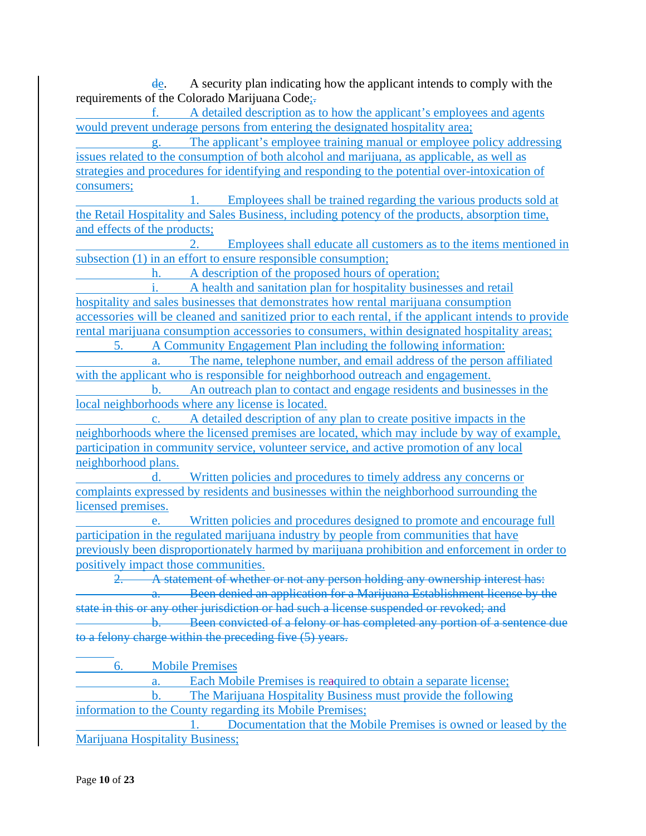de. A security plan indicating how the applicant intends to comply with the requirements of the Colorado Marijuana Code;.

f. A detailed description as to how the applicant's employees and agents would prevent underage persons from entering the designated hospitality area;

g. The applicant's employee training manual or employee policy addressing issues related to the consumption of both alcohol and marijuana, as applicable, as well as strategies and procedures for identifying and responding to the potential over-intoxication of consumers;

1. Employees shall be trained regarding the various products sold at the Retail Hospitality and Sales Business, including potency of the products, absorption time, and effects of the products;

2. Employees shall educate all customers as to the items mentioned in subsection (1) in an effort to ensure responsible consumption;

h. A description of the proposed hours of operation;

i. A health and sanitation plan for hospitality businesses and retail hospitality and sales businesses that demonstrates how rental marijuana consumption accessories will be cleaned and sanitized prior to each rental, if the applicant intends to provide rental marijuana consumption accessories to consumers, within designated hospitality areas;

5. A Community Engagement Plan including the following information: a. The name, telephone number, and email address of the person affiliated

with the applicant who is responsible for neighborhood outreach and engagement.

b. An outreach plan to contact and engage residents and businesses in the local neighborhoods where any license is located.

c. A detailed description of any plan to create positive impacts in the neighborhoods where the licensed premises are located, which may include by way of example, participation in community service, volunteer service, and active promotion of any local neighborhood plans.

d. Written policies and procedures to timely address any concerns or complaints expressed by residents and businesses within the neighborhood surrounding the licensed premises.

Written policies and procedures designed to promote and encourage full participation in the regulated marijuana industry by people from communities that have previously been disproportionately harmed by marijuana prohibition and enforcement in order to positively impact those communities.

2. A statement of whether or not any person holding any ownership interest has: **Been denied an application for a Marijuana Establishment license by the** state in this or any other jurisdiction or had such a license suspended or revoked; and b. Been convicted of a felony or has completed any portion of a sentence due to a felony charge within the preceding five (5) years.

6. Mobile Premises

a. Each Mobile Premises is reaquired to obtain a separate license; b. The Marijuana Hospitality Business must provide the following information to the County regarding its Mobile Premises; 1. Documentation that the Mobile Premises is owned or leased by the

Marijuana Hospitality Business;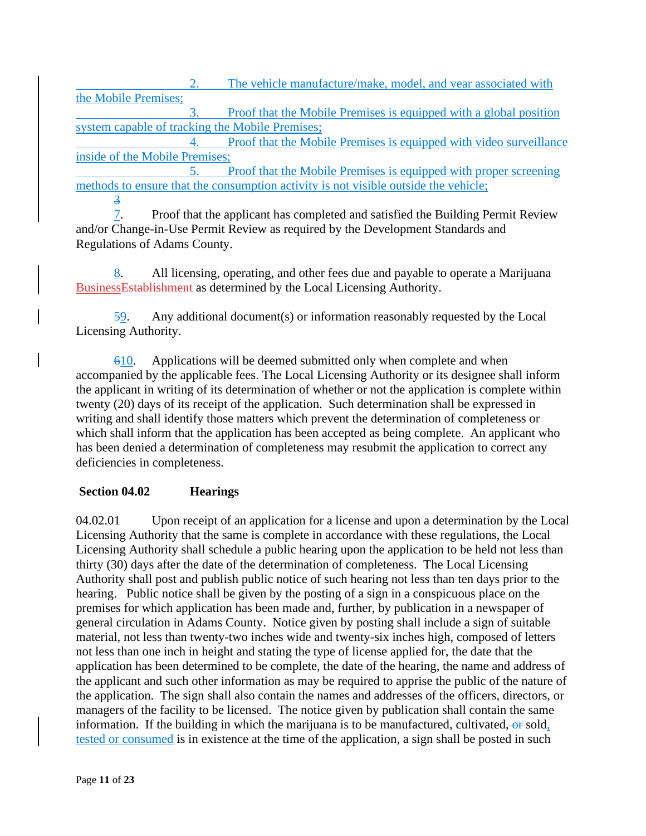2. The vehicle manufacture/make, model, and year associated with the Mobile Premises; 3. Proof that the Mobile Premises is equipped with a global position system capable of tracking the Mobile Premises; 4. Proof that the Mobile Premises is equipped with video surveillance inside of the Mobile Premises; 5. Proof that the Mobile Premises is equipped with proper screening

methods to ensure that the consumption activity is not visible outside the vehicle; 3

7. Proof that the applicant has completed and satisfied the Building Permit Review and/or Change-in-Use Permit Review as required by the Development Standards and Regulations of Adams County.

8. All licensing, operating, and other fees due and payable to operate a Marijuana BusinessEstablishment as determined by the Local Licensing Authority.

59. Any additional document(s) or information reasonably requested by the Local Licensing Authority.

610. Applications will be deemed submitted only when complete and when accompanied by the applicable fees. The Local Licensing Authority or its designee shall inform the applicant in writing of its determination of whether or not the application is complete within twenty (20) days of its receipt of the application. Such determination shall be expressed in writing and shall identify those matters which prevent the determination of completeness or which shall inform that the application has been accepted as being complete. An applicant who has been denied a determination of completeness may resubmit the application to correct any deficiencies in completeness.

### **Section 04.02 Hearings**

04.02.01 Upon receipt of an application for a license and upon a determination by the Local Licensing Authority that the same is complete in accordance with these regulations, the Local Licensing Authority shall schedule a public hearing upon the application to be held not less than thirty (30) days after the date of the determination of completeness. The Local Licensing Authority shall post and publish public notice of such hearing not less than ten days prior to the hearing. Public notice shall be given by the posting of a sign in a conspicuous place on the premises for which application has been made and, further, by publication in a newspaper of general circulation in Adams County. Notice given by posting shall include a sign of suitable material, not less than twenty-two inches wide and twenty-six inches high, composed of letters not less than one inch in height and stating the type of license applied for, the date that the application has been determined to be complete, the date of the hearing, the name and address of the applicant and such other information as may be required to apprise the public of the nature of the application. The sign shall also contain the names and addresses of the officers, directors, or managers of the facility to be licensed. The notice given by publication shall contain the same information. If the building in which the marijuana is to be manufactured, cultivated, or sold, tested or consumed is in existence at the time of the application, a sign shall be posted in such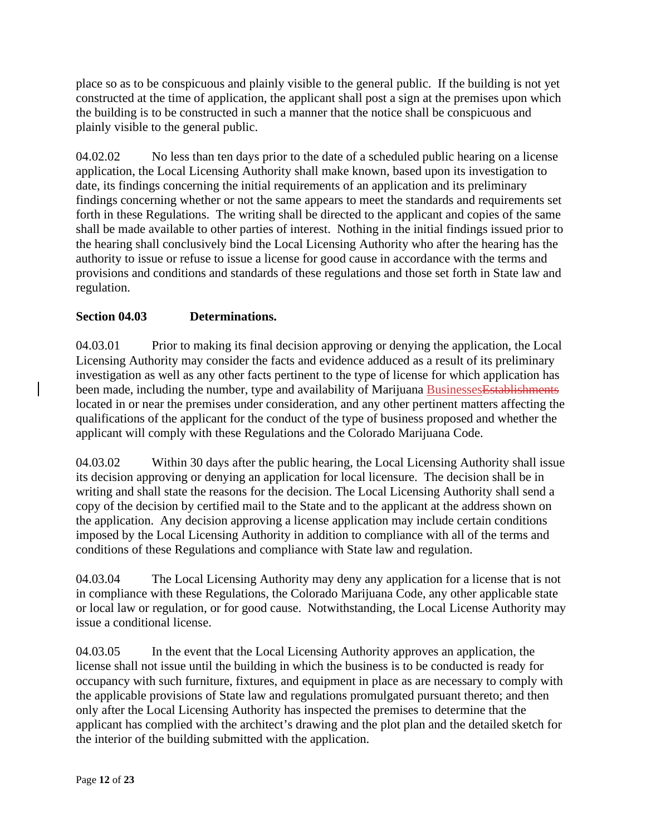place so as to be conspicuous and plainly visible to the general public. If the building is not yet constructed at the time of application, the applicant shall post a sign at the premises upon which the building is to be constructed in such a manner that the notice shall be conspicuous and plainly visible to the general public.

04.02.02 No less than ten days prior to the date of a scheduled public hearing on a license application, the Local Licensing Authority shall make known, based upon its investigation to date, its findings concerning the initial requirements of an application and its preliminary findings concerning whether or not the same appears to meet the standards and requirements set forth in these Regulations. The writing shall be directed to the applicant and copies of the same shall be made available to other parties of interest. Nothing in the initial findings issued prior to the hearing shall conclusively bind the Local Licensing Authority who after the hearing has the authority to issue or refuse to issue a license for good cause in accordance with the terms and provisions and conditions and standards of these regulations and those set forth in State law and regulation.

## **Section 04.03 Determinations.**

04.03.01 Prior to making its final decision approving or denying the application, the Local Licensing Authority may consider the facts and evidence adduced as a result of its preliminary investigation as well as any other facts pertinent to the type of license for which application has been made, including the number, type and availability of Marijuana Businesses Establishments located in or near the premises under consideration, and any other pertinent matters affecting the qualifications of the applicant for the conduct of the type of business proposed and whether the applicant will comply with these Regulations and the Colorado Marijuana Code.

04.03.02 Within 30 days after the public hearing, the Local Licensing Authority shall issue its decision approving or denying an application for local licensure. The decision shall be in writing and shall state the reasons for the decision. The Local Licensing Authority shall send a copy of the decision by certified mail to the State and to the applicant at the address shown on the application. Any decision approving a license application may include certain conditions imposed by the Local Licensing Authority in addition to compliance with all of the terms and conditions of these Regulations and compliance with State law and regulation.

04.03.04 The Local Licensing Authority may deny any application for a license that is not in compliance with these Regulations, the Colorado Marijuana Code, any other applicable state or local law or regulation, or for good cause. Notwithstanding, the Local License Authority may issue a conditional license.

04.03.05 In the event that the Local Licensing Authority approves an application, the license shall not issue until the building in which the business is to be conducted is ready for occupancy with such furniture, fixtures, and equipment in place as are necessary to comply with the applicable provisions of State law and regulations promulgated pursuant thereto; and then only after the Local Licensing Authority has inspected the premises to determine that the applicant has complied with the architect's drawing and the plot plan and the detailed sketch for the interior of the building submitted with the application.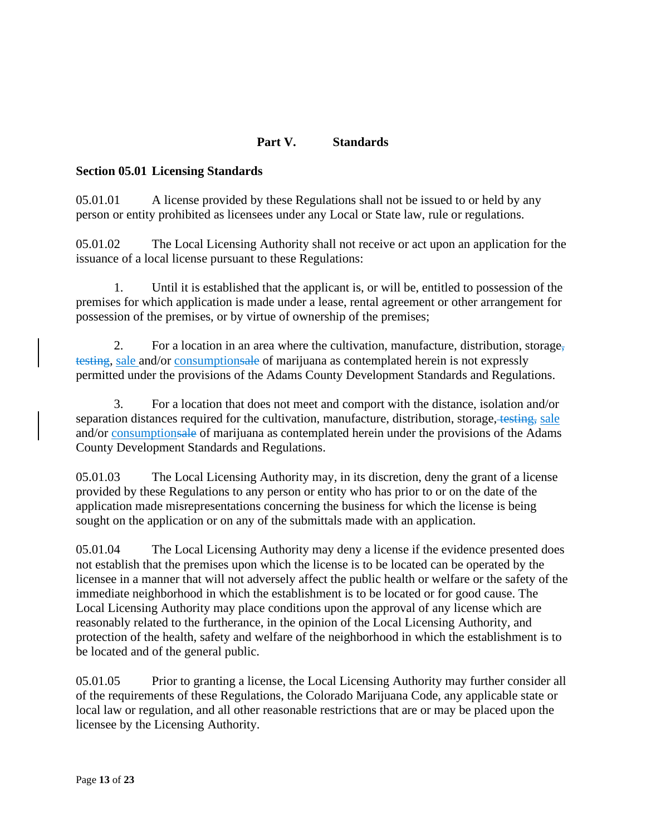## **Part V. Standards**

#### **Section 05.01 Licensing Standards**

05.01.01 A license provided by these Regulations shall not be issued to or held by any person or entity prohibited as licensees under any Local or State law, rule or regulations.

05.01.02 The Local Licensing Authority shall not receive or act upon an application for the issuance of a local license pursuant to these Regulations:

1. Until it is established that the applicant is, or will be, entitled to possession of the premises for which application is made under a lease, rental agreement or other arrangement for possession of the premises, or by virtue of ownership of the premises;

2. For a location in an area where the cultivation, manufacture, distribution, storage, testing, sale and/or consumptionsale of marijuana as contemplated herein is not expressly permitted under the provisions of the Adams County Development Standards and Regulations.

3. For a location that does not meet and comport with the distance, isolation and/or separation distances required for the cultivation, manufacture, distribution, storage, testing, sale and/or consumptionsale of marijuana as contemplated herein under the provisions of the Adams County Development Standards and Regulations.

05.01.03 The Local Licensing Authority may, in its discretion, deny the grant of a license provided by these Regulations to any person or entity who has prior to or on the date of the application made misrepresentations concerning the business for which the license is being sought on the application or on any of the submittals made with an application.

05.01.04 The Local Licensing Authority may deny a license if the evidence presented does not establish that the premises upon which the license is to be located can be operated by the licensee in a manner that will not adversely affect the public health or welfare or the safety of the immediate neighborhood in which the establishment is to be located or for good cause. The Local Licensing Authority may place conditions upon the approval of any license which are reasonably related to the furtherance, in the opinion of the Local Licensing Authority, and protection of the health, safety and welfare of the neighborhood in which the establishment is to be located and of the general public.

05.01.05 Prior to granting a license, the Local Licensing Authority may further consider all of the requirements of these Regulations, the Colorado Marijuana Code, any applicable state or local law or regulation, and all other reasonable restrictions that are or may be placed upon the licensee by the Licensing Authority.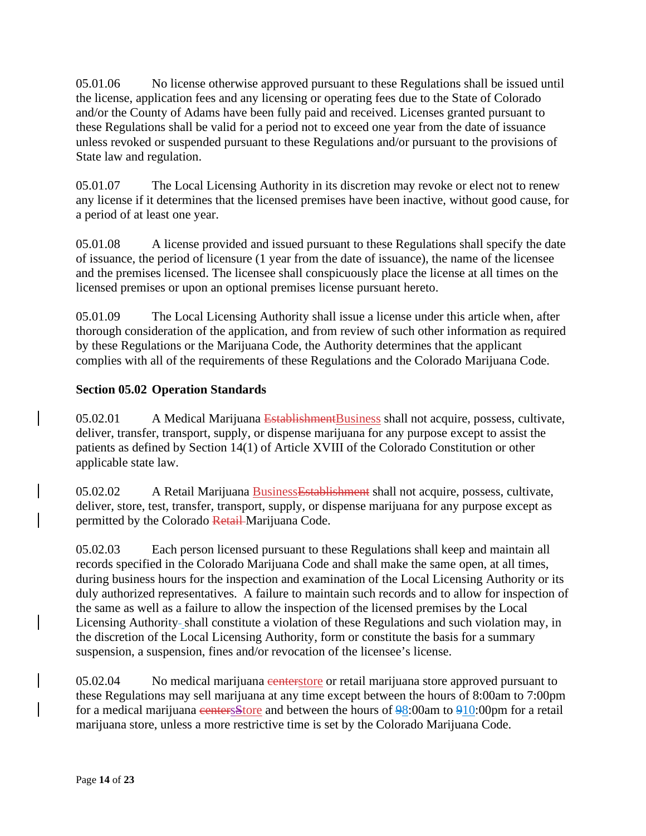05.01.06 No license otherwise approved pursuant to these Regulations shall be issued until the license, application fees and any licensing or operating fees due to the State of Colorado and/or the County of Adams have been fully paid and received. Licenses granted pursuant to these Regulations shall be valid for a period not to exceed one year from the date of issuance unless revoked or suspended pursuant to these Regulations and/or pursuant to the provisions of State law and regulation.

05.01.07 The Local Licensing Authority in its discretion may revoke or elect not to renew any license if it determines that the licensed premises have been inactive, without good cause, for a period of at least one year.

05.01.08 A license provided and issued pursuant to these Regulations shall specify the date of issuance, the period of licensure (1 year from the date of issuance), the name of the licensee and the premises licensed. The licensee shall conspicuously place the license at all times on the licensed premises or upon an optional premises license pursuant hereto.

05.01.09 The Local Licensing Authority shall issue a license under this article when, after thorough consideration of the application, and from review of such other information as required by these Regulations or the Marijuana Code, the Authority determines that the applicant complies with all of the requirements of these Regulations and the Colorado Marijuana Code.

## **Section 05.02 Operation Standards**

05.02.01 A Medical Marijuana EstablishmentBusiness shall not acquire, possess, cultivate, deliver, transfer, transport, supply, or dispense marijuana for any purpose except to assist the patients as defined by Section 14(1) of Article XVIII of the Colorado Constitution or other applicable state law.

05.02.02 A Retail Marijuana Business Establishment shall not acquire, possess, cultivate, deliver, store, test, transfer, transport, supply, or dispense marijuana for any purpose except as permitted by the Colorado Retail Marijuana Code.

05.02.03 Each person licensed pursuant to these Regulations shall keep and maintain all records specified in the Colorado Marijuana Code and shall make the same open, at all times, during business hours for the inspection and examination of the Local Licensing Authority or its duly authorized representatives. A failure to maintain such records and to allow for inspection of the same as well as a failure to allow the inspection of the licensed premises by the Local Licensing Authority-shall constitute a violation of these Regulations and such violation may, in the discretion of the Local Licensing Authority, form or constitute the basis for a summary suspension, a suspension, fines and/or revocation of the licensee's license.

05.02.04 No medical marijuana centerstore or retail marijuana store approved pursuant to these Regulations may sell marijuana at any time except between the hours of 8:00am to 7:00pm for a medical marijuana centersStore and between the hours of 98:00am to 910:00pm for a retail marijuana store, unless a more restrictive time is set by the Colorado Marijuana Code.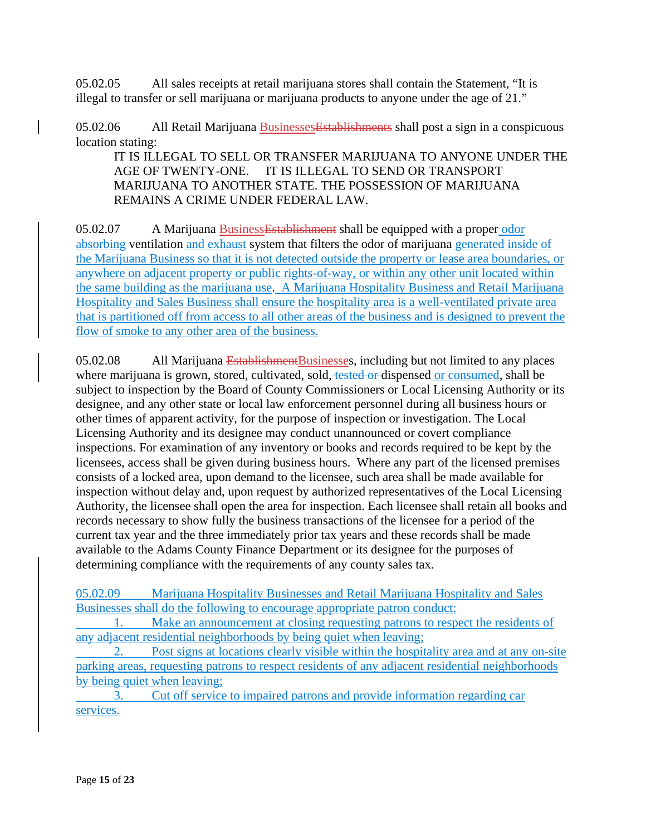05.02.05 All sales receipts at retail marijuana stores shall contain the Statement, "It is illegal to transfer or sell marijuana or marijuana products to anyone under the age of 21."

05.02.06 All Retail Marijuana Businesses Establishments shall post a sign in a conspicuous location stating:

IT IS ILLEGAL TO SELL OR TRANSFER MARIJUANA TO ANYONE UNDER THE AGE OF TWENTY-ONE. IT IS ILLEGAL TO SEND OR TRANSPORT MARIJUANA TO ANOTHER STATE. THE POSSESSION OF MARIJUANA REMAINS A CRIME UNDER FEDERAL LAW.

05.02.07 A Marijuana BusinessEstablishment shall be equipped with a proper odor absorbing ventilation and exhaust system that filters the odor of marijuana generated inside of the Marijuana Business so that it is not detected outside the property or lease area boundaries, or anywhere on adjacent property or public rights-of-way, or within any other unit located within the same building as the marijuana use. A Marijuana Hospitality Business and Retail Marijuana Hospitality and Sales Business shall ensure the hospitality area is a well-ventilated private area that is partitioned off from access to all other areas of the business and is designed to prevent the flow of smoke to any other area of the business.

05.02.08 All Marijuana Establishment Businesses, including but not limited to any places where marijuana is grown, stored, cultivated, sold, tested or dispensed or consumed, shall be subject to inspection by the Board of County Commissioners or Local Licensing Authority or its designee, and any other state or local law enforcement personnel during all business hours or other times of apparent activity, for the purpose of inspection or investigation. The Local Licensing Authority and its designee may conduct unannounced or covert compliance inspections. For examination of any inventory or books and records required to be kept by the licensees, access shall be given during business hours. Where any part of the licensed premises consists of a locked area, upon demand to the licensee, such area shall be made available for inspection without delay and, upon request by authorized representatives of the Local Licensing Authority, the licensee shall open the area for inspection. Each licensee shall retain all books and records necessary to show fully the business transactions of the licensee for a period of the current tax year and the three immediately prior tax years and these records shall be made available to the Adams County Finance Department or its designee for the purposes of determining compliance with the requirements of any county sales tax.

05.02.09 Marijuana Hospitality Businesses and Retail Marijuana Hospitality and Sales Businesses shall do the following to encourage appropriate patron conduct:

Make an announcement at closing requesting patrons to respect the residents of any adjacent residential neighborhoods by being quiet when leaving;

2. Post signs at locations clearly visible within the hospitality area and at any on-site parking areas, requesting patrons to respect residents of any adjacent residential neighborhoods by being quiet when leaving;

3. Cut off service to impaired patrons and provide information regarding car services.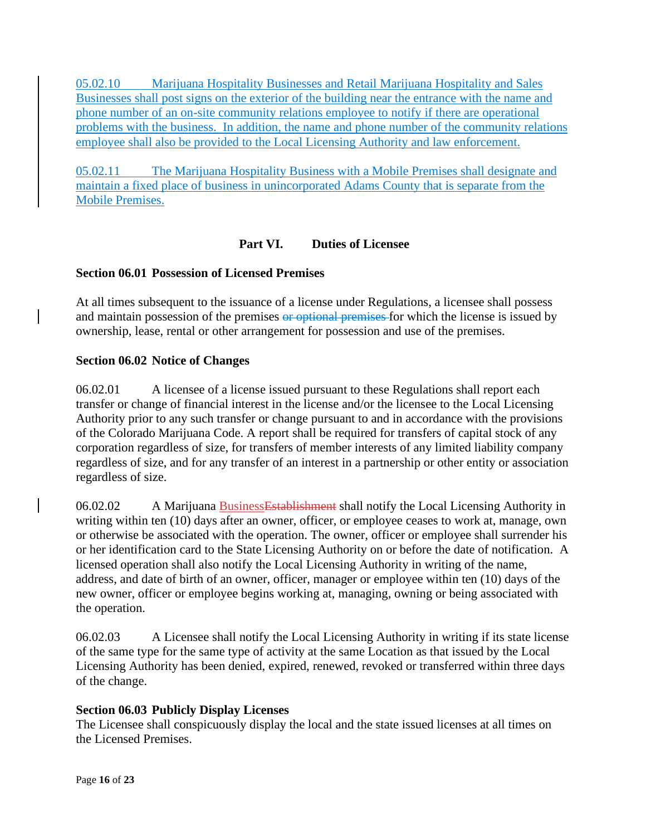05.02.10 Marijuana Hospitality Businesses and Retail Marijuana Hospitality and Sales Businesses shall post signs on the exterior of the building near the entrance with the name and phone number of an on-site community relations employee to notify if there are operational problems with the business. In addition, the name and phone number of the community relations employee shall also be provided to the Local Licensing Authority and law enforcement.

05.02.11 The Marijuana Hospitality Business with a Mobile Premises shall designate and maintain a fixed place of business in unincorporated Adams County that is separate from the Mobile Premises.

## **Part VI. Duties of Licensee**

### **Section 06.01 Possession of Licensed Premises**

At all times subsequent to the issuance of a license under Regulations, a licensee shall possess and maintain possession of the premises or optional premises for which the license is issued by ownership, lease, rental or other arrangement for possession and use of the premises.

### **Section 06.02 Notice of Changes**

06.02.01 A licensee of a license issued pursuant to these Regulations shall report each transfer or change of financial interest in the license and/or the licensee to the Local Licensing Authority prior to any such transfer or change pursuant to and in accordance with the provisions of the Colorado Marijuana Code. A report shall be required for transfers of capital stock of any corporation regardless of size, for transfers of member interests of any limited liability company regardless of size, and for any transfer of an interest in a partnership or other entity or association regardless of size.

06.02.02 A Marijuana BusinessEstablishment shall notify the Local Licensing Authority in writing within ten (10) days after an owner, officer, or employee ceases to work at, manage, own or otherwise be associated with the operation. The owner, officer or employee shall surrender his or her identification card to the State Licensing Authority on or before the date of notification. A licensed operation shall also notify the Local Licensing Authority in writing of the name, address, and date of birth of an owner, officer, manager or employee within ten (10) days of the new owner, officer or employee begins working at, managing, owning or being associated with the operation.

06.02.03 A Licensee shall notify the Local Licensing Authority in writing if its state license of the same type for the same type of activity at the same Location as that issued by the Local Licensing Authority has been denied, expired, renewed, revoked or transferred within three days of the change.

### **Section 06.03 Publicly Display Licenses**

The Licensee shall conspicuously display the local and the state issued licenses at all times on the Licensed Premises.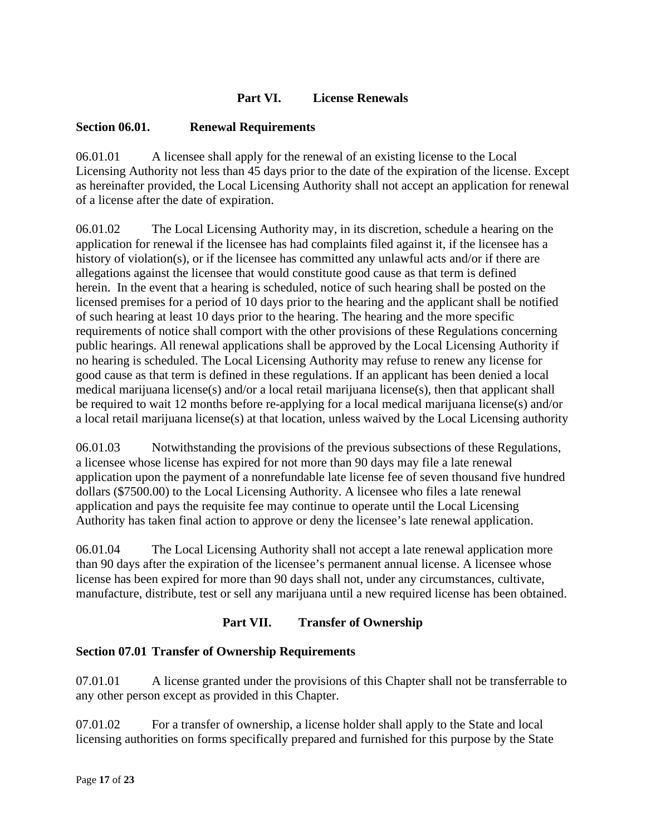## **Part VI. License Renewals**

## **Section 06.01. Renewal Requirements**

06.01.01 A licensee shall apply for the renewal of an existing license to the Local Licensing Authority not less than 45 days prior to the date of the expiration of the license. Except as hereinafter provided, the Local Licensing Authority shall not accept an application for renewal of a license after the date of expiration.

06.01.02 The Local Licensing Authority may, in its discretion, schedule a hearing on the application for renewal if the licensee has had complaints filed against it, if the licensee has a history of violation(s), or if the licensee has committed any unlawful acts and/or if there are allegations against the licensee that would constitute good cause as that term is defined herein. In the event that a hearing is scheduled, notice of such hearing shall be posted on the licensed premises for a period of 10 days prior to the hearing and the applicant shall be notified of such hearing at least 10 days prior to the hearing. The hearing and the more specific requirements of notice shall comport with the other provisions of these Regulations concerning public hearings. All renewal applications shall be approved by the Local Licensing Authority if no hearing is scheduled. The Local Licensing Authority may refuse to renew any license for good cause as that term is defined in these regulations. If an applicant has been denied a local medical marijuana license(s) and/or a local retail marijuana license(s), then that applicant shall be required to wait 12 months before re-applying for a local medical marijuana license(s) and/or a local retail marijuana license(s) at that location, unless waived by the Local Licensing authority

06.01.03 Notwithstanding the provisions of the previous subsections of these Regulations, a licensee whose license has expired for not more than 90 days may file a late renewal application upon the payment of a nonrefundable late license fee of seven thousand five hundred dollars (\$7500.00) to the Local Licensing Authority. A licensee who files a late renewal application and pays the requisite fee may continue to operate until the Local Licensing Authority has taken final action to approve or deny the licensee's late renewal application.

06.01.04 The Local Licensing Authority shall not accept a late renewal application more than 90 days after the expiration of the licensee's permanent annual license. A licensee whose license has been expired for more than 90 days shall not, under any circumstances, cultivate, manufacture, distribute, test or sell any marijuana until a new required license has been obtained.

# **Part VII. Transfer of Ownership**

### **Section 07.01 Transfer of Ownership Requirements**

07.01.01 A license granted under the provisions of this Chapter shall not be transferrable to any other person except as provided in this Chapter.

07.01.02 For a transfer of ownership, a license holder shall apply to the State and local licensing authorities on forms specifically prepared and furnished for this purpose by the State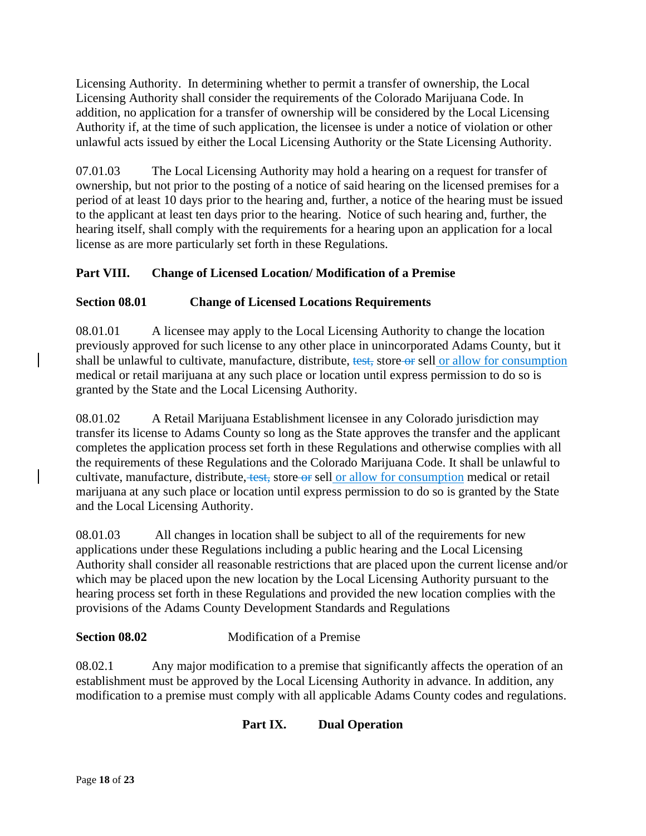Licensing Authority. In determining whether to permit a transfer of ownership, the Local Licensing Authority shall consider the requirements of the Colorado Marijuana Code. In addition, no application for a transfer of ownership will be considered by the Local Licensing Authority if, at the time of such application, the licensee is under a notice of violation or other unlawful acts issued by either the Local Licensing Authority or the State Licensing Authority.

07.01.03 The Local Licensing Authority may hold a hearing on a request for transfer of ownership, but not prior to the posting of a notice of said hearing on the licensed premises for a period of at least 10 days prior to the hearing and, further, a notice of the hearing must be issued to the applicant at least ten days prior to the hearing. Notice of such hearing and, further, the hearing itself, shall comply with the requirements for a hearing upon an application for a local license as are more particularly set forth in these Regulations.

# **Part VIII. Change of Licensed Location/ Modification of a Premise**

# **Section 08.01 Change of Licensed Locations Requirements**

08.01.01 A licensee may apply to the Local Licensing Authority to change the location previously approved for such license to any other place in unincorporated Adams County, but it shall be unlawful to cultivate, manufacture, distribute, test, store or sell or allow for consumption medical or retail marijuana at any such place or location until express permission to do so is granted by the State and the Local Licensing Authority.

08.01.02 A Retail Marijuana Establishment licensee in any Colorado jurisdiction may transfer its license to Adams County so long as the State approves the transfer and the applicant completes the application process set forth in these Regulations and otherwise complies with all the requirements of these Regulations and the Colorado Marijuana Code. It shall be unlawful to cultivate, manufacture, distribute, test, store or sell or allow for consumption medical or retail marijuana at any such place or location until express permission to do so is granted by the State and the Local Licensing Authority.

08.01.03 All changes in location shall be subject to all of the requirements for new applications under these Regulations including a public hearing and the Local Licensing Authority shall consider all reasonable restrictions that are placed upon the current license and/or which may be placed upon the new location by the Local Licensing Authority pursuant to the hearing process set forth in these Regulations and provided the new location complies with the provisions of the Adams County Development Standards and Regulations

# **Section 08.02** Modification of a Premise

08.02.1 Any major modification to a premise that significantly affects the operation of an establishment must be approved by the Local Licensing Authority in advance. In addition, any modification to a premise must comply with all applicable Adams County codes and regulations.

# **Part IX. Dual Operation**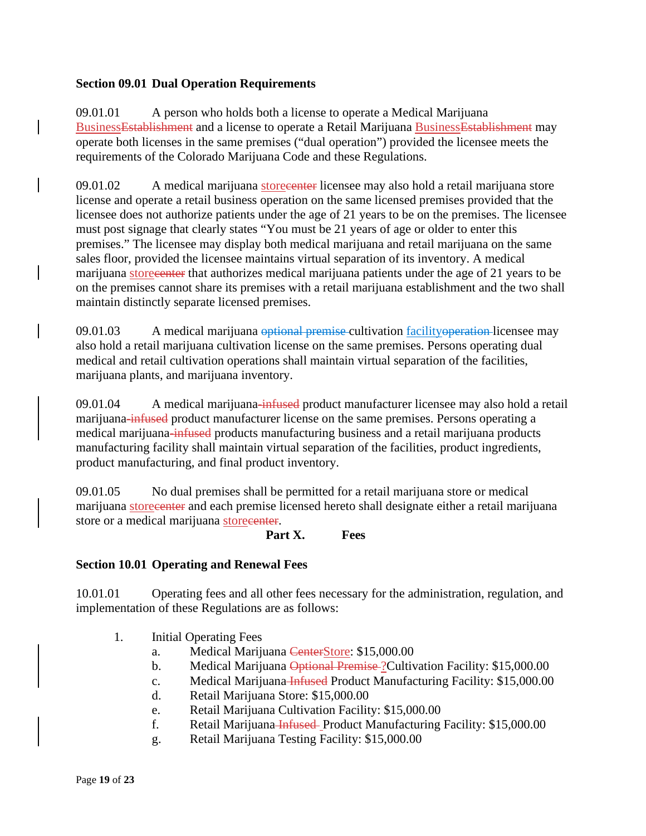#### **Section 09.01 Dual Operation Requirements**

09.01.01 A person who holds both a license to operate a Medical Marijuana BusinessEstablishment and a license to operate a Retail Marijuana BusinessEstablishment may operate both licenses in the same premises ("dual operation") provided the licensee meets the requirements of the Colorado Marijuana Code and these Regulations.

09.01.02 A medical marijuana storecenter licensee may also hold a retail marijuana store license and operate a retail business operation on the same licensed premises provided that the licensee does not authorize patients under the age of 21 years to be on the premises. The licensee must post signage that clearly states "You must be 21 years of age or older to enter this premises." The licensee may display both medical marijuana and retail marijuana on the same sales floor, provided the licensee maintains virtual separation of its inventory. A medical marijuana storecenter that authorizes medical marijuana patients under the age of 21 years to be on the premises cannot share its premises with a retail marijuana establishment and the two shall maintain distinctly separate licensed premises.

09.01.03 A medical marijuana optional premise cultivation facility operation-licensee may also hold a retail marijuana cultivation license on the same premises. Persons operating dual medical and retail cultivation operations shall maintain virtual separation of the facilities, marijuana plants, and marijuana inventory.

09.01.04 A medical marijuana-infused product manufacturer licensee may also hold a retail marijuana-infused product manufacturer license on the same premises. Persons operating a medical marijuana-infused products manufacturing business and a retail marijuana products manufacturing facility shall maintain virtual separation of the facilities, product ingredients, product manufacturing, and final product inventory.

09.01.05 No dual premises shall be permitted for a retail marijuana store or medical marijuana storecenter and each premise licensed hereto shall designate either a retail marijuana store or a medical marijuana storecenter.

**Part X. Fees**

#### **Section 10.01 Operating and Renewal Fees**

10.01.01 Operating fees and all other fees necessary for the administration, regulation, and implementation of these Regulations are as follows:

- 1. Initial Operating Fees
	- a. Medical Marijuana CenterStore: \$15,000.00
	- b. Medical Marijuana Optional Premise ? Cultivation Facility: \$15,000.00
	- c. Medical Marijuana Infused Product Manufacturing Facility: \$15,000.00
	- d. Retail Marijuana Store: \$15,000.00
	- e. Retail Marijuana Cultivation Facility: \$15,000.00
	- f. Retail Marijuana Infused Product Manufacturing Facility: \$15,000.00
	- g. Retail Marijuana Testing Facility: \$15,000.00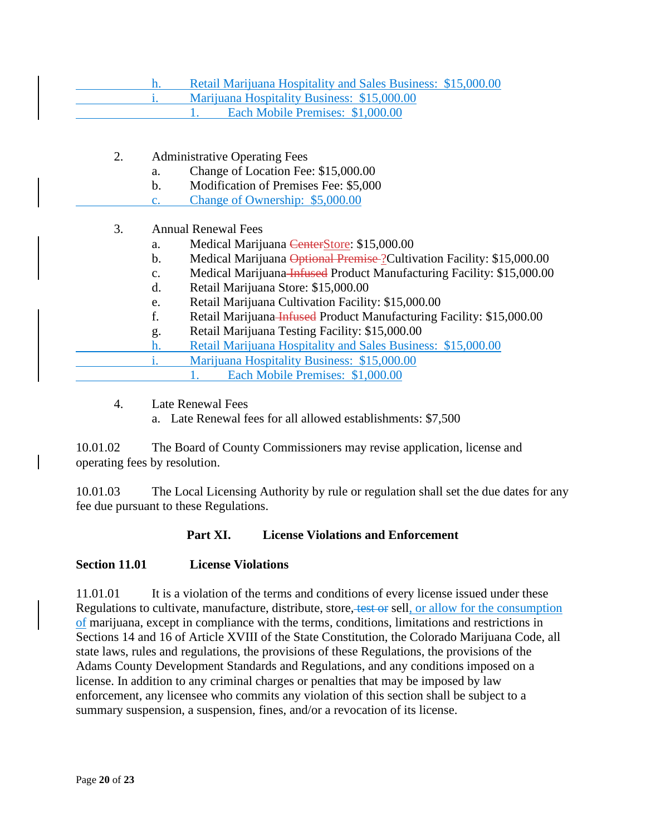| Retail Marijuana Hospitality and Sales Business: \$15,000.00 |
|--------------------------------------------------------------|
| Marijuana Hospitality Business: \$15,000.00                  |
| Each Mobile Premises: \$1,000.00                             |

- 2. Administrative Operating Fees
	- a. Change of Location Fee: \$15,000.00
	- b. Modification of Premises Fee: \$5,000
	- c. Change of Ownership: \$5,000.00

### 3. Annual Renewal Fees

- a. Medical Marijuana CenterStore: \$15,000.00
- b. Medical Marijuana Optional Premise ?Cultivation Facility: \$15,000.00
- c. Medical Marijuana Infused Product Manufacturing Facility: \$15,000.00
- d. Retail Marijuana Store: \$15,000.00
- e. Retail Marijuana Cultivation Facility: \$15,000.00
- f. Retail Marijuana Infused Product Manufacturing Facility: \$15,000.00
- g. Retail Marijuana Testing Facility: \$15,000.00
- h. Retail Marijuana Hospitality and Sales Business: \$15,000.00
	- i. Marijuana Hospitality Business: \$15,000.00
		- 1. Each Mobile Premises: \$1,000.00
- 4. Late Renewal Fees
	- a. Late Renewal fees for all allowed establishments: \$7,500

10.01.02 The Board of County Commissioners may revise application, license and operating fees by resolution.

10.01.03 The Local Licensing Authority by rule or regulation shall set the due dates for any fee due pursuant to these Regulations.

#### **Part XI. License Violations and Enforcement**

#### **Section 11.01 License Violations**

11.01.01 It is a violation of the terms and conditions of every license issued under these Regulations to cultivate, manufacture, distribute, store, test or sell, or allow for the consumption of marijuana, except in compliance with the terms, conditions, limitations and restrictions in Sections 14 and 16 of Article XVIII of the State Constitution, the Colorado Marijuana Code, all state laws, rules and regulations, the provisions of these Regulations, the provisions of the Adams County Development Standards and Regulations, and any conditions imposed on a license. In addition to any criminal charges or penalties that may be imposed by law enforcement, any licensee who commits any violation of this section shall be subject to a summary suspension, a suspension, fines, and/or a revocation of its license.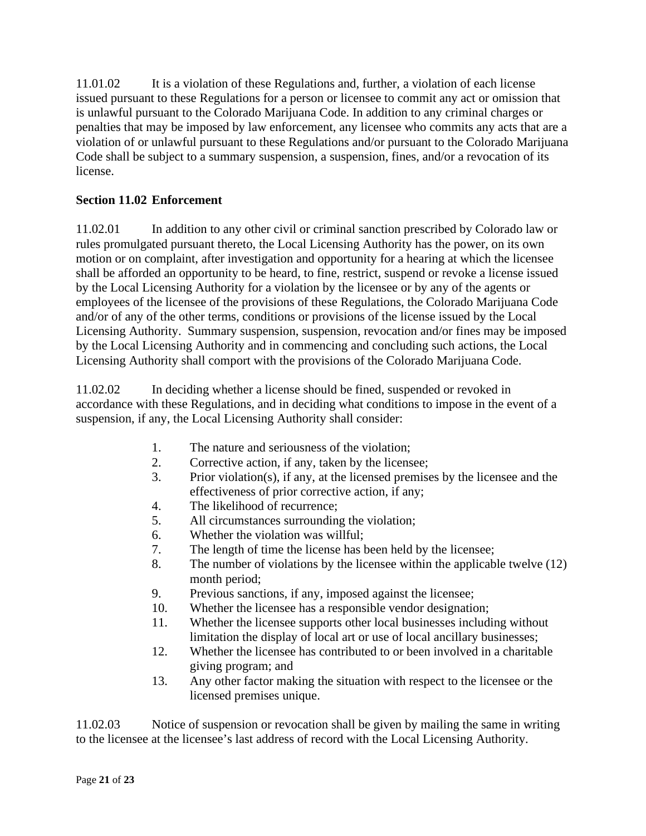11.01.02 It is a violation of these Regulations and, further, a violation of each license issued pursuant to these Regulations for a person or licensee to commit any act or omission that is unlawful pursuant to the Colorado Marijuana Code. In addition to any criminal charges or penalties that may be imposed by law enforcement, any licensee who commits any acts that are a violation of or unlawful pursuant to these Regulations and/or pursuant to the Colorado Marijuana Code shall be subject to a summary suspension, a suspension, fines, and/or a revocation of its license.

# **Section 11.02 Enforcement**

11.02.01 In addition to any other civil or criminal sanction prescribed by Colorado law or rules promulgated pursuant thereto, the Local Licensing Authority has the power, on its own motion or on complaint, after investigation and opportunity for a hearing at which the licensee shall be afforded an opportunity to be heard, to fine, restrict, suspend or revoke a license issued by the Local Licensing Authority for a violation by the licensee or by any of the agents or employees of the licensee of the provisions of these Regulations, the Colorado Marijuana Code and/or of any of the other terms, conditions or provisions of the license issued by the Local Licensing Authority. Summary suspension, suspension, revocation and/or fines may be imposed by the Local Licensing Authority and in commencing and concluding such actions, the Local Licensing Authority shall comport with the provisions of the Colorado Marijuana Code.

11.02.02 In deciding whether a license should be fined, suspended or revoked in accordance with these Regulations, and in deciding what conditions to impose in the event of a suspension, if any, the Local Licensing Authority shall consider:

- 1. The nature and seriousness of the violation;
- 2. Corrective action, if any, taken by the licensee;
- 3. Prior violation(s), if any, at the licensed premises by the licensee and the effectiveness of prior corrective action, if any;
- 4. The likelihood of recurrence;
- 5. All circumstances surrounding the violation;
- 6. Whether the violation was willful;
- 7. The length of time the license has been held by the licensee;
- 8. The number of violations by the licensee within the applicable twelve (12) month period;
- 9. Previous sanctions, if any, imposed against the licensee;
- 10. Whether the licensee has a responsible vendor designation;
- 11. Whether the licensee supports other local businesses including without limitation the display of local art or use of local ancillary businesses;
- 12. Whether the licensee has contributed to or been involved in a charitable giving program; and
- 13. Any other factor making the situation with respect to the licensee or the licensed premises unique.

11.02.03 Notice of suspension or revocation shall be given by mailing the same in writing to the licensee at the licensee's last address of record with the Local Licensing Authority.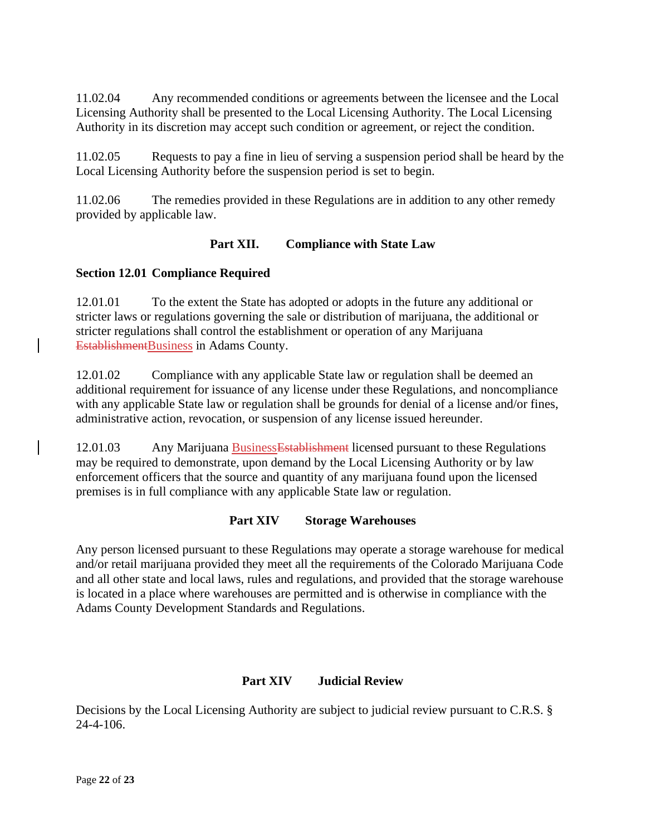11.02.04 Any recommended conditions or agreements between the licensee and the Local Licensing Authority shall be presented to the Local Licensing Authority. The Local Licensing Authority in its discretion may accept such condition or agreement, or reject the condition.

11.02.05 Requests to pay a fine in lieu of serving a suspension period shall be heard by the Local Licensing Authority before the suspension period is set to begin.

11.02.06 The remedies provided in these Regulations are in addition to any other remedy provided by applicable law.

## **Part XII. Compliance with State Law**

### **Section 12.01 Compliance Required**

12.01.01 To the extent the State has adopted or adopts in the future any additional or stricter laws or regulations governing the sale or distribution of marijuana, the additional or stricter regulations shall control the establishment or operation of any Marijuana EstablishmentBusiness in Adams County.

12.01.02 Compliance with any applicable State law or regulation shall be deemed an additional requirement for issuance of any license under these Regulations, and noncompliance with any applicable State law or regulation shall be grounds for denial of a license and/or fines, administrative action, revocation, or suspension of any license issued hereunder.

12.01.03 Any Marijuana BusinessEstablishment licensed pursuant to these Regulations may be required to demonstrate, upon demand by the Local Licensing Authority or by law enforcement officers that the source and quantity of any marijuana found upon the licensed premises is in full compliance with any applicable State law or regulation.

### **Part XIV Storage Warehouses**

Any person licensed pursuant to these Regulations may operate a storage warehouse for medical and/or retail marijuana provided they meet all the requirements of the Colorado Marijuana Code and all other state and local laws, rules and regulations, and provided that the storage warehouse is located in a place where warehouses are permitted and is otherwise in compliance with the Adams County Development Standards and Regulations.

# **Part XIV Judicial Review**

Decisions by the Local Licensing Authority are subject to judicial review pursuant to C.R.S. § 24-4-106.